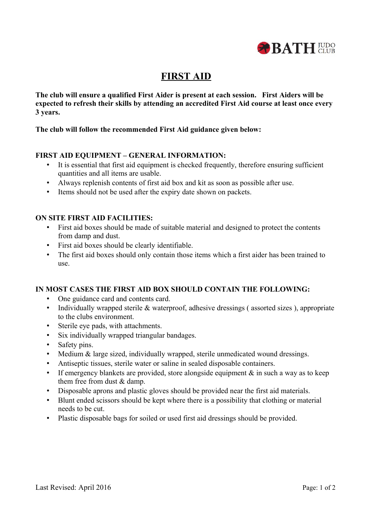

# **FIRST AID**

**The club will ensure a qualified First Aider is present at each session. First Aiders will be expected to refresh their skills by attending an accredited First Aid course at least once every 3 years.** 

#### **The club will follow the recommended First Aid guidance given below:**

### **FIRST AID EQUIPMENT – GENERAL INFORMATION:**

- It is essential that first aid equipment is checked frequently, therefore ensuring sufficient quantities and all items are usable.
- Always replenish contents of first aid box and kit as soon as possible after use.
- Items should not be used after the expiry date shown on packets.

#### **ON SITE FIRST AID FACILITIES:**

- First aid boxes should be made of suitable material and designed to protect the contents from damp and dust.
- First aid boxes should be clearly identifiable.
- The first aid boxes should only contain those items which a first aider has been trained to use.

#### **IN MOST CASES THE FIRST AID BOX SHOULD CONTAIN THE FOLLOWING:**

- One guidance card and contents card.
- Individually wrapped sterile & waterproof, adhesive dressings ( assorted sizes ), appropriate to the clubs environment.
- Sterile eye pads, with attachments.
- Six individually wrapped triangular bandages.
- Safety pins.
- Medium & large sized, individually wrapped, sterile unmedicated wound dressings.
- Antiseptic tissues, sterile water or saline in sealed disposable containers.
- If emergency blankets are provided, store alongside equipment  $\&$  in such a way as to keep them free from dust & damp.
- Disposable aprons and plastic gloves should be provided near the first aid materials.
- Blunt ended scissors should be kept where there is a possibility that clothing or material needs to be cut.
- Plastic disposable bags for soiled or used first aid dressings should be provided.